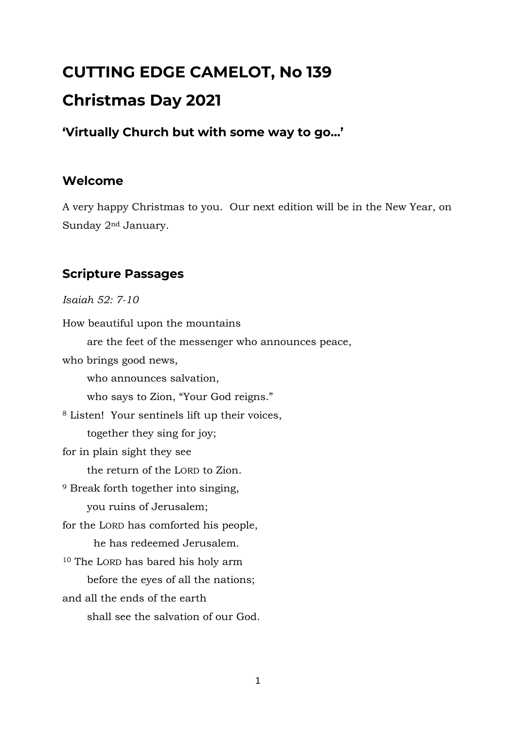# **CUTTING EDGE CAMELOT, No 139 Christmas Day 2021**

#### **'Virtually Church but with some way to go…'**

#### **Welcome**

A very happy Christmas to you. Our next edition will be in the New Year, on Sunday 2nd January.

#### **Scripture Passages**

*Isaiah 52: 7-10*

How beautiful upon the mountains are the feet of the messenger who announces peace, who brings good news, who announces salvation, who says to Zion, "Your God reigns." <sup>8</sup> Listen! Your sentinels lift up their voices, together they sing for joy; for in plain sight they see the return of the LORD to Zion. <sup>9</sup> Break forth together into singing, you ruins of Jerusalem; for the LORD has comforted his people, he has redeemed Jerusalem. <sup>10</sup> The LORD has bared his holy arm before the eyes of all the nations; and all the ends of the earth shall see the salvation of our God.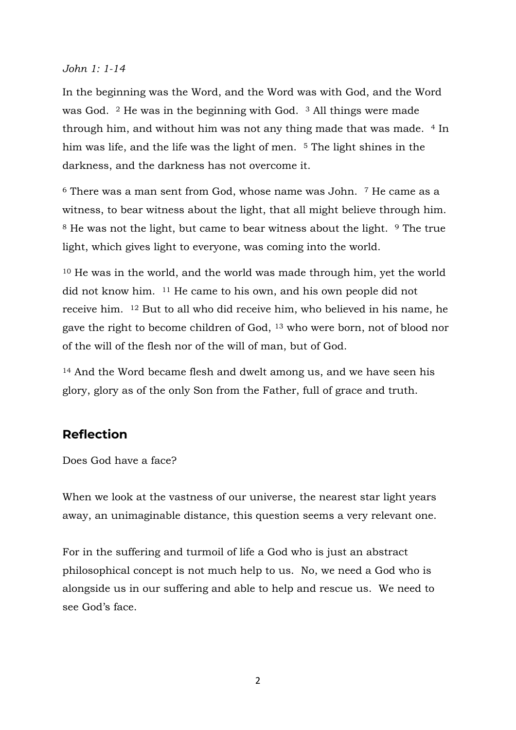#### *John 1: 1-14*

In the beginning was the Word, and the Word was with God, and the Word was God. <sup>2</sup> He was in the beginning with God. <sup>3</sup> All things were made through him, and without him was not any thing made that was made. <sup>4</sup> In him was life, and the life was the light of men. <sup>5</sup> The light shines in the darkness, and the darkness has not overcome it.

 $6$  There was a man sent from God, whose name was John.  $7$  He came as a witness, to bear witness about the light, that all might believe through him. <sup>8</sup> He was not the light, but came to bear witness about the light. <sup>9</sup> The true light, which gives light to everyone, was coming into the world.

<sup>10</sup> He was in the world, and the world was made through him, yet the world did not know him. <sup>11</sup> He came to his own, and his own people did not receive him. <sup>12</sup> But to all who did receive him, who believed in his name, he gave the right to become children of God, <sup>13</sup> who were born, not of blood nor of the will of the flesh nor of the will of man, but of God.

<sup>14</sup> And the Word became flesh and dwelt among us, and we have seen his glory, glory as of the only Son from the Father, full of grace and truth.

#### **Reflection**

Does God have a face?

When we look at the vastness of our universe, the nearest star light years away, an unimaginable distance, this question seems a very relevant one.

For in the suffering and turmoil of life a God who is just an abstract philosophical concept is not much help to us. No, we need a God who is alongside us in our suffering and able to help and rescue us. We need to see God's face.

2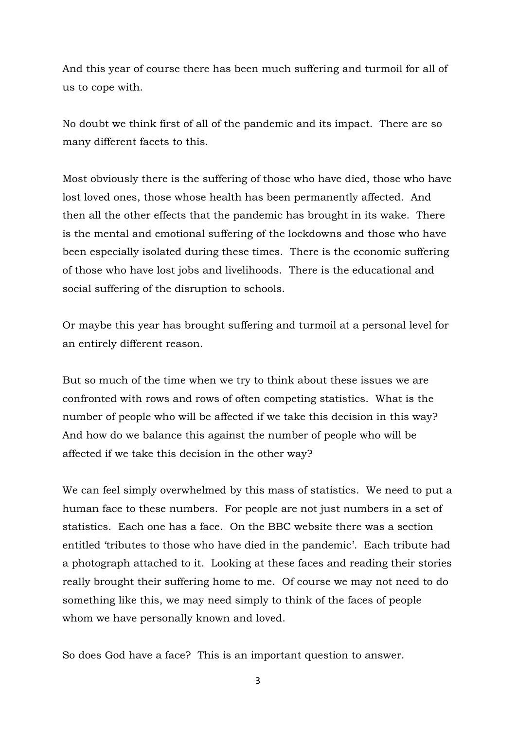And this year of course there has been much suffering and turmoil for all of us to cope with.

No doubt we think first of all of the pandemic and its impact. There are so many different facets to this.

Most obviously there is the suffering of those who have died, those who have lost loved ones, those whose health has been permanently affected. And then all the other effects that the pandemic has brought in its wake. There is the mental and emotional suffering of the lockdowns and those who have been especially isolated during these times. There is the economic suffering of those who have lost jobs and livelihoods. There is the educational and social suffering of the disruption to schools.

Or maybe this year has brought suffering and turmoil at a personal level for an entirely different reason.

But so much of the time when we try to think about these issues we are confronted with rows and rows of often competing statistics. What is the number of people who will be affected if we take this decision in this way? And how do we balance this against the number of people who will be affected if we take this decision in the other way?

We can feel simply overwhelmed by this mass of statistics. We need to put a human face to these numbers. For people are not just numbers in a set of statistics. Each one has a face. On the BBC website there was a section entitled 'tributes to those who have died in the pandemic'. Each tribute had a photograph attached to it. Looking at these faces and reading their stories really brought their suffering home to me. Of course we may not need to do something like this, we may need simply to think of the faces of people whom we have personally known and loved.

So does God have a face? This is an important question to answer.

3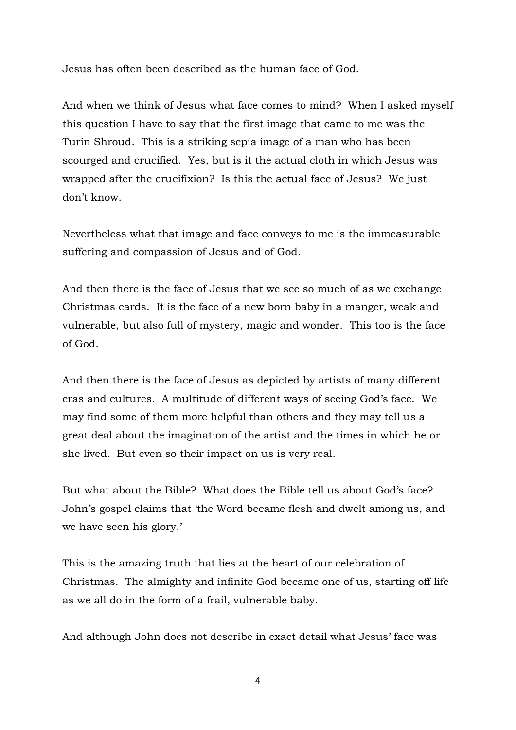Jesus has often been described as the human face of God.

And when we think of Jesus what face comes to mind? When I asked myself this question I have to say that the first image that came to me was the Turin Shroud. This is a striking sepia image of a man who has been scourged and crucified. Yes, but is it the actual cloth in which Jesus was wrapped after the crucifixion? Is this the actual face of Jesus? We just don't know.

Nevertheless what that image and face conveys to me is the immeasurable suffering and compassion of Jesus and of God.

And then there is the face of Jesus that we see so much of as we exchange Christmas cards. It is the face of a new born baby in a manger, weak and vulnerable, but also full of mystery, magic and wonder. This too is the face of God.

And then there is the face of Jesus as depicted by artists of many different eras and cultures. A multitude of different ways of seeing God's face. We may find some of them more helpful than others and they may tell us a great deal about the imagination of the artist and the times in which he or she lived. But even so their impact on us is very real.

But what about the Bible? What does the Bible tell us about God's face? John's gospel claims that 'the Word became flesh and dwelt among us, and we have seen his glory.'

This is the amazing truth that lies at the heart of our celebration of Christmas. The almighty and infinite God became one of us, starting off life as we all do in the form of a frail, vulnerable baby.

And although John does not describe in exact detail what Jesus' face was

4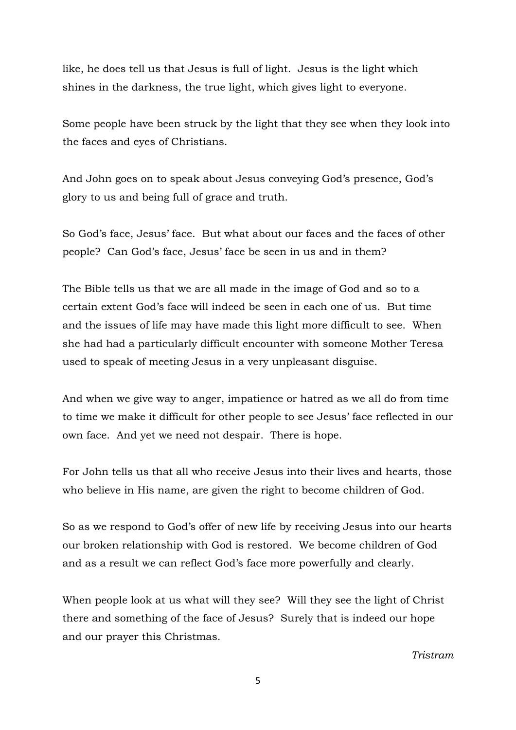like, he does tell us that Jesus is full of light. Jesus is the light which shines in the darkness, the true light, which gives light to everyone.

Some people have been struck by the light that they see when they look into the faces and eyes of Christians.

And John goes on to speak about Jesus conveying God's presence, God's glory to us and being full of grace and truth.

So God's face, Jesus' face. But what about our faces and the faces of other people? Can God's face, Jesus' face be seen in us and in them?

The Bible tells us that we are all made in the image of God and so to a certain extent God's face will indeed be seen in each one of us. But time and the issues of life may have made this light more difficult to see. When she had had a particularly difficult encounter with someone Mother Teresa used to speak of meeting Jesus in a very unpleasant disguise.

And when we give way to anger, impatience or hatred as we all do from time to time we make it difficult for other people to see Jesus' face reflected in our own face. And yet we need not despair. There is hope.

For John tells us that all who receive Jesus into their lives and hearts, those who believe in His name, are given the right to become children of God.

So as we respond to God's offer of new life by receiving Jesus into our hearts our broken relationship with God is restored. We become children of God and as a result we can reflect God's face more powerfully and clearly.

When people look at us what will they see? Will they see the light of Christ there and something of the face of Jesus? Surely that is indeed our hope and our prayer this Christmas.

#### *Tristram*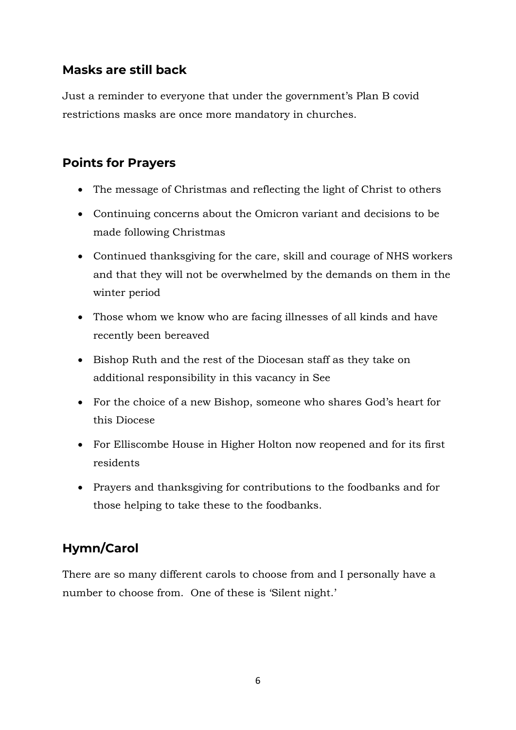## **Masks are still back**

Just a reminder to everyone that under the government's Plan B covid restrictions masks are once more mandatory in churches.

## **Points for Prayers**

- The message of Christmas and reflecting the light of Christ to others
- Continuing concerns about the Omicron variant and decisions to be made following Christmas
- Continued thanksgiving for the care, skill and courage of NHS workers and that they will not be overwhelmed by the demands on them in the winter period
- Those whom we know who are facing illnesses of all kinds and have recently been bereaved
- Bishop Ruth and the rest of the Diocesan staff as they take on additional responsibility in this vacancy in See
- For the choice of a new Bishop, someone who shares God's heart for this Diocese
- For Elliscombe House in Higher Holton now reopened and for its first residents
- Prayers and thanksgiving for contributions to the foodbanks and for those helping to take these to the foodbanks.

# **Hymn/Carol**

There are so many different carols to choose from and I personally have a number to choose from. One of these is 'Silent night.'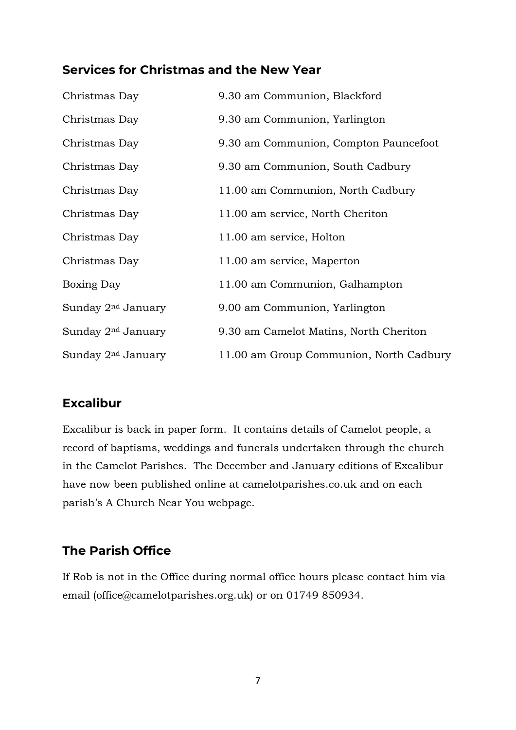#### **Services for Christmas and the New Year**

| Christmas Day                  | 9.30 am Communion, Blackford            |
|--------------------------------|-----------------------------------------|
| Christmas Day                  | 9.30 am Communion, Yarlington           |
| Christmas Day                  | 9.30 am Communion, Compton Pauncefoot   |
| Christmas Day                  | 9.30 am Communion, South Cadbury        |
| Christmas Day                  | 11.00 am Communion, North Cadbury       |
| Christmas Day                  | 11.00 am service, North Cheriton        |
| Christmas Day                  | 11.00 am service, Holton                |
| Christmas Day                  | 11.00 am service, Maperton              |
| Boxing Day                     | 11.00 am Communion, Galhampton          |
| Sunday 2 <sup>nd</sup> January | 9.00 am Communion, Yarlington           |
| Sunday 2 <sup>nd</sup> January | 9.30 am Camelot Matins, North Cheriton  |
| Sunday 2 <sup>nd</sup> January | 11.00 am Group Communion, North Cadbury |

#### **Excalibur**

Excalibur is back in paper form. It contains details of Camelot people, a record of baptisms, weddings and funerals undertaken through the church in the Camelot Parishes. The December and January editions of Excalibur have now been published online at camelotparishes.co.uk and on each parish's A Church Near You webpage.

## **The Parish Office**

If Rob is not in the Office during normal office hours please contact him via email (office@camelotparishes.org.uk) or on 01749 850934.